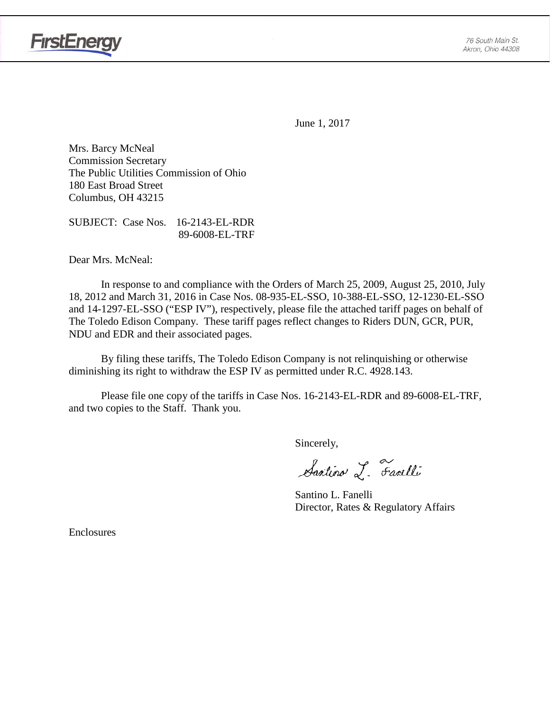

June 1, 2017

Mrs. Barcy McNeal Commission Secretary The Public Utilities Commission of Ohio 180 East Broad Street Columbus, OH 43215

SUBJECT: Case Nos. 16-2143-EL-RDR 89-6008-EL-TRF

Dear Mrs. McNeal:

In response to and compliance with the Orders of March 25, 2009, August 25, 2010, July 18, 2012 and March 31, 2016 in Case Nos. 08-935-EL-SSO, 10-388-EL-SSO, 12-1230-EL-SSO and 14-1297-EL-SSO ("ESP IV"), respectively, please file the attached tariff pages on behalf of The Toledo Edison Company. These tariff pages reflect changes to Riders DUN, GCR, PUR, NDU and EDR and their associated pages.

By filing these tariffs, The Toledo Edison Company is not relinquishing or otherwise diminishing its right to withdraw the ESP IV as permitted under R.C. 4928.143.

Please file one copy of the tariffs in Case Nos. 16-2143-EL-RDR and 89-6008-EL-TRF, and two copies to the Staff. Thank you.

Sincerely,

Santino L. Farelli

Santino L. Fanelli Director, Rates & Regulatory Affairs

Enclosures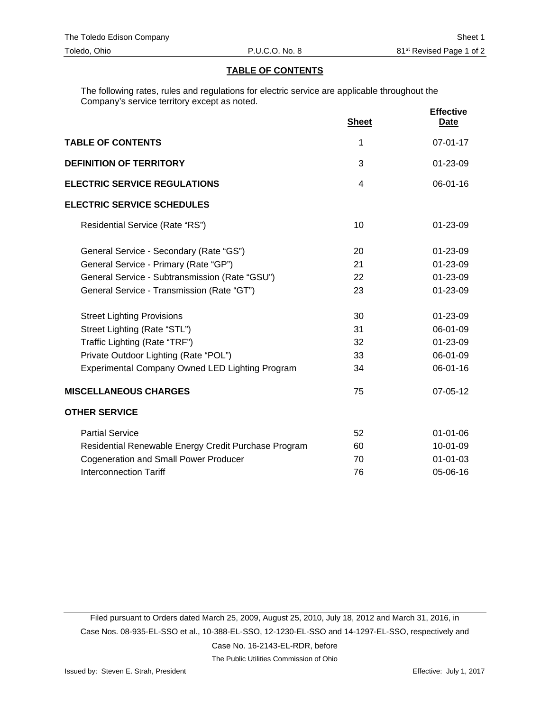### **TABLE OF CONTENTS**

The following rates, rules and regulations for electric service are applicable throughout the Company's service territory except as noted.

|                                                      | <b>Sheet</b> | <b>Effective</b><br>Date |
|------------------------------------------------------|--------------|--------------------------|
| <b>TABLE OF CONTENTS</b>                             | 1            | $07 - 01 - 17$           |
| <b>DEFINITION OF TERRITORY</b>                       | 3            | 01-23-09                 |
| <b>ELECTRIC SERVICE REGULATIONS</b>                  | 4            | $06 - 01 - 16$           |
| <b>ELECTRIC SERVICE SCHEDULES</b>                    |              |                          |
| Residential Service (Rate "RS")                      | 10           | 01-23-09                 |
| General Service - Secondary (Rate "GS")              | 20           | 01-23-09                 |
| General Service - Primary (Rate "GP")                | 21           | 01-23-09                 |
| General Service - Subtransmission (Rate "GSU")       | 22           | 01-23-09                 |
| General Service - Transmission (Rate "GT")           | 23           | 01-23-09                 |
| <b>Street Lighting Provisions</b>                    | 30           | 01-23-09                 |
| Street Lighting (Rate "STL")                         | 31           | 06-01-09                 |
| Traffic Lighting (Rate "TRF")                        | 32           | 01-23-09                 |
| Private Outdoor Lighting (Rate "POL")                | 33           | 06-01-09                 |
| Experimental Company Owned LED Lighting Program      | 34           | 06-01-16                 |
| <b>MISCELLANEOUS CHARGES</b>                         | 75           | 07-05-12                 |
| <b>OTHER SERVICE</b>                                 |              |                          |
| <b>Partial Service</b>                               | 52           | $01 - 01 - 06$           |
| Residential Renewable Energy Credit Purchase Program | 60           | 10-01-09                 |
| <b>Cogeneration and Small Power Producer</b>         | 70           | $01 - 01 - 03$           |
| <b>Interconnection Tariff</b>                        | 76           | 05-06-16                 |

Filed pursuant to Orders dated March 25, 2009, August 25, 2010, July 18, 2012 and March 31, 2016, in Case Nos. 08-935-EL-SSO et al., 10-388-EL-SSO, 12-1230-EL-SSO and 14-1297-EL-SSO, respectively and Case No. 16-2143-EL-RDR, before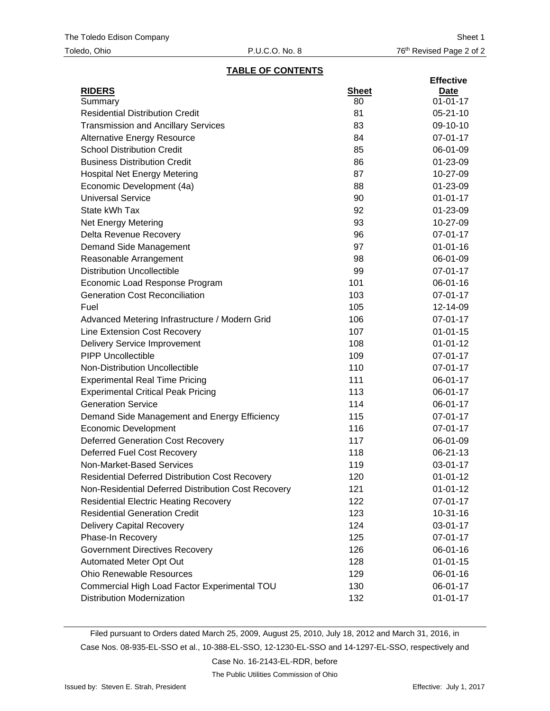## **TABLE OF CONTENTS**

|                                                        |              | <b>Effective</b> |
|--------------------------------------------------------|--------------|------------------|
| <b>RIDERS</b>                                          | <b>Sheet</b> | <u>Date</u>      |
| Summary                                                | 80           | $01 - 01 - 17$   |
| <b>Residential Distribution Credit</b>                 | 81           | $05 - 21 - 10$   |
| <b>Transmission and Ancillary Services</b>             | 83           | 09-10-10         |
| <b>Alternative Energy Resource</b>                     | 84           | 07-01-17         |
| <b>School Distribution Credit</b>                      | 85           | 06-01-09         |
| <b>Business Distribution Credit</b>                    | 86           | 01-23-09         |
| <b>Hospital Net Energy Metering</b>                    | 87           | 10-27-09         |
| Economic Development (4a)                              | 88           | 01-23-09         |
| <b>Universal Service</b>                               | 90           | $01 - 01 - 17$   |
| State kWh Tax                                          | 92           | 01-23-09         |
| <b>Net Energy Metering</b>                             | 93           | 10-27-09         |
| Delta Revenue Recovery                                 | 96           | 07-01-17         |
| Demand Side Management                                 | 97           | $01 - 01 - 16$   |
| Reasonable Arrangement                                 | 98           | 06-01-09         |
| <b>Distribution Uncollectible</b>                      | 99           | 07-01-17         |
| Economic Load Response Program                         | 101          | 06-01-16         |
| <b>Generation Cost Reconciliation</b>                  | 103          | 07-01-17         |
| Fuel                                                   | 105          | 12-14-09         |
| Advanced Metering Infrastructure / Modern Grid         | 106          | 07-01-17         |
| Line Extension Cost Recovery                           | 107          | $01 - 01 - 15$   |
| <b>Delivery Service Improvement</b>                    | 108          | $01 - 01 - 12$   |
| <b>PIPP Uncollectible</b>                              | 109          | 07-01-17         |
| Non-Distribution Uncollectible                         | 110          | 07-01-17         |
| <b>Experimental Real Time Pricing</b>                  | 111          | 06-01-17         |
| <b>Experimental Critical Peak Pricing</b>              | 113          | 06-01-17         |
| <b>Generation Service</b>                              | 114          | 06-01-17         |
| Demand Side Management and Energy Efficiency           | 115          | 07-01-17         |
| <b>Economic Development</b>                            | 116          | 07-01-17         |
| <b>Deferred Generation Cost Recovery</b>               | 117          | 06-01-09         |
| Deferred Fuel Cost Recovery                            | 118          | 06-21-13         |
| Non-Market-Based Services                              | 119          | 03-01-17         |
| <b>Residential Deferred Distribution Cost Recovery</b> | 120          | $01 - 01 - 12$   |
| Non-Residential Deferred Distribution Cost Recovery    | 121          | $01 - 01 - 12$   |
| <b>Residential Electric Heating Recovery</b>           | 122          | 07-01-17         |
| <b>Residential Generation Credit</b>                   | 123          | $10-31-16$       |
| <b>Delivery Capital Recovery</b>                       | 124          | 03-01-17         |
| Phase-In Recovery                                      | 125          | 07-01-17         |
| <b>Government Directives Recovery</b>                  | 126          | 06-01-16         |
| Automated Meter Opt Out                                | 128          | $01 - 01 - 15$   |
| <b>Ohio Renewable Resources</b>                        | 129          | 06-01-16         |
| Commercial High Load Factor Experimental TOU           | 130          | 06-01-17         |
| <b>Distribution Modernization</b>                      | 132          | $01 - 01 - 17$   |
|                                                        |              |                  |

Filed pursuant to Orders dated March 25, 2009, August 25, 2010, July 18, 2012 and March 31, 2016, in Case Nos. 08-935-EL-SSO et al., 10-388-EL-SSO, 12-1230-EL-SSO and 14-1297-EL-SSO, respectively and

Case No. 16-2143-EL-RDR, before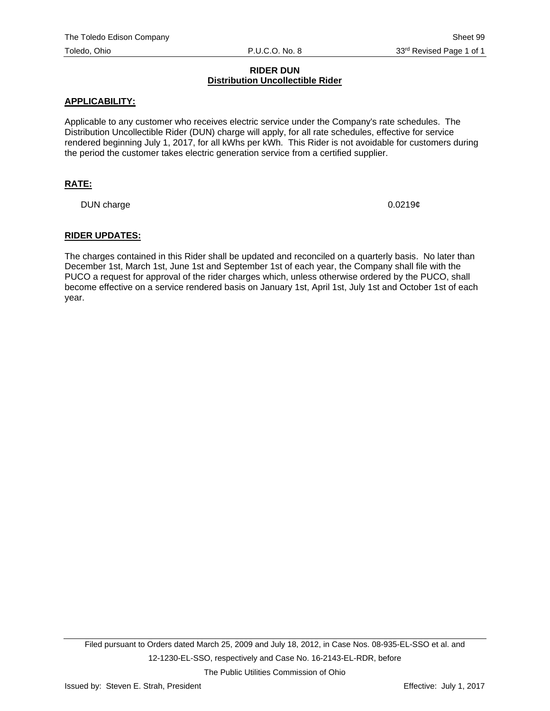# **RIDER DUN Distribution Uncollectible Rider**

# **APPLICABILITY:**

Applicable to any customer who receives electric service under the Company's rate schedules. The Distribution Uncollectible Rider (DUN) charge will apply, for all rate schedules, effective for service rendered beginning July 1, 2017, for all kWhs per kWh. This Rider is not avoidable for customers during the period the customer takes electric generation service from a certified supplier.

# **RATE:**

DUN charge 0.0219¢

#### **RIDER UPDATES:**

The charges contained in this Rider shall be updated and reconciled on a quarterly basis. No later than December 1st, March 1st, June 1st and September 1st of each year, the Company shall file with the PUCO a request for approval of the rider charges which, unless otherwise ordered by the PUCO, shall become effective on a service rendered basis on January 1st, April 1st, July 1st and October 1st of each year.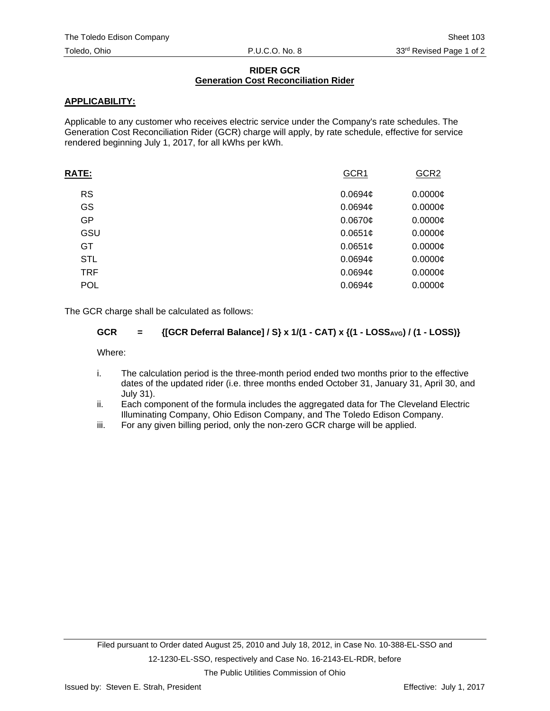# **RIDER GCR Generation Cost Reconciliation Rider**

# **APPLICABILITY:**

Applicable to any customer who receives electric service under the Company's rate schedules. The Generation Cost Reconciliation Rider (GCR) charge will apply, by rate schedule, effective for service rendered beginning July 1, 2017, for all kWhs per kWh.

| <b>RATE:</b> | GCR1                | GCR <sub>2</sub> |
|--------------|---------------------|------------------|
| <b>RS</b>    | 0.0694 <sub>¢</sub> | $0.0000$ ¢       |
| GS           | 0.0694 <sub>¢</sub> | $0.0000$ ¢       |
| GP           | $0.0670$ ¢          | $0.0000$ ¢       |
| GSU          | 0.0651¢             | $0.0000$ ¢       |
| GT.          | 0.0651c             | $0.0000$ ¢       |
| <b>STL</b>   | 0.0694 <sub>¢</sub> | $0.0000$ ¢       |
| <b>TRF</b>   | 0.0694c             | $0.0000$ ¢       |
| <b>POL</b>   | 0.0694 <sub>¢</sub> | $0.0000$ ¢       |
|              |                     |                  |

The GCR charge shall be calculated as follows:

# GCR = {[GCR Deferral Balance] / S} x 1/(1 - CAT) x {(1 - LOSS<sub>AVG</sub>) / (1 - LOSS)}

Where:

- i. The calculation period is the three-month period ended two months prior to the effective dates of the updated rider (i.e. three months ended October 31, January 31, April 30, and July 31).
- ii. Each component of the formula includes the aggregated data for The Cleveland Electric Illuminating Company, Ohio Edison Company, and The Toledo Edison Company.
- iii. For any given billing period, only the non-zero GCR charge will be applied.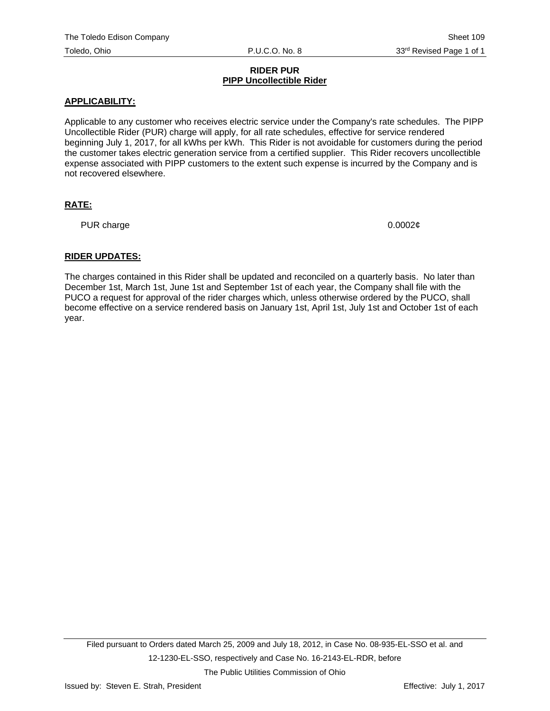# **RIDER PUR PIPP Uncollectible Rider**

# **APPLICABILITY:**

Applicable to any customer who receives electric service under the Company's rate schedules. The PIPP Uncollectible Rider (PUR) charge will apply, for all rate schedules, effective for service rendered beginning July 1, 2017, for all kWhs per kWh. This Rider is not avoidable for customers during the period the customer takes electric generation service from a certified supplier. This Rider recovers uncollectible expense associated with PIPP customers to the extent such expense is incurred by the Company and is not recovered elsewhere.

# **RATE:**

PUR charge  $0.0002\ell$ 

# **RIDER UPDATES:**

The charges contained in this Rider shall be updated and reconciled on a quarterly basis. No later than December 1st, March 1st, June 1st and September 1st of each year, the Company shall file with the PUCO a request for approval of the rider charges which, unless otherwise ordered by the PUCO, shall become effective on a service rendered basis on January 1st, April 1st, July 1st and October 1st of each year.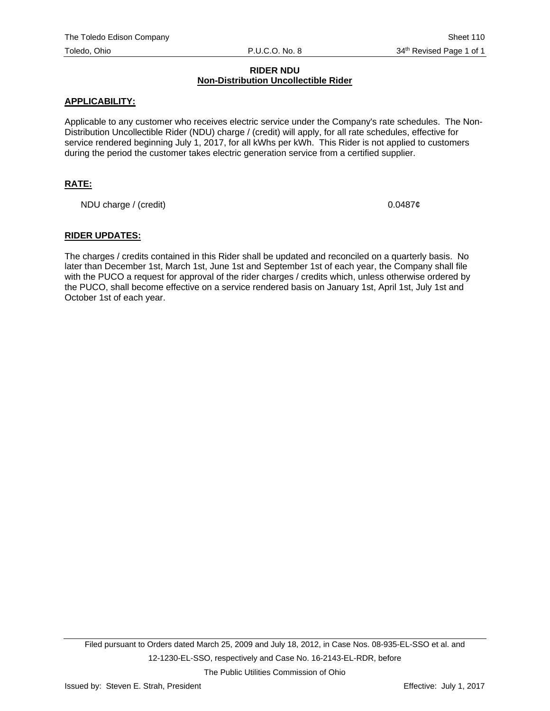# **RIDER NDU Non-Distribution Uncollectible Rider**

# **APPLICABILITY:**

Applicable to any customer who receives electric service under the Company's rate schedules. The Non-Distribution Uncollectible Rider (NDU) charge / (credit) will apply, for all rate schedules, effective for service rendered beginning July 1, 2017, for all kWhs per kWh. This Rider is not applied to customers during the period the customer takes electric generation service from a certified supplier.

# **RATE:**

NDU charge / (credit)  $0.0487¢$ 

## **RIDER UPDATES:**

The charges / credits contained in this Rider shall be updated and reconciled on a quarterly basis. No later than December 1st, March 1st, June 1st and September 1st of each year, the Company shall file with the PUCO a request for approval of the rider charges / credits which, unless otherwise ordered by the PUCO, shall become effective on a service rendered basis on January 1st, April 1st, July 1st and October 1st of each year.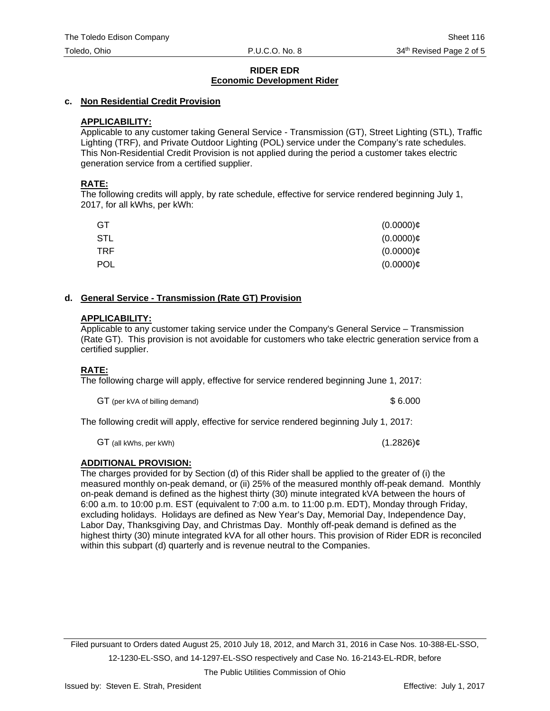# **RIDER EDR Economic Development Rider**

## **c. Non Residential Credit Provision**

# **APPLICABILITY:**

Applicable to any customer taking General Service - Transmission (GT), Street Lighting (STL), Traffic Lighting (TRF), and Private Outdoor Lighting (POL) service under the Company's rate schedules. This Non-Residential Credit Provision is not applied during the period a customer takes electric generation service from a certified supplier.

## **RATE:**

The following credits will apply, by rate schedule, effective for service rendered beginning July 1, 2017, for all kWhs, per kWh:

| GT         | $(0.0000)$ ¢ |
|------------|--------------|
| STL        | $(0.0000)$ ¢ |
| <b>TRF</b> | $(0.0000)$ ¢ |
| <b>POL</b> | $(0.0000)$ ¢ |

## **d. General Service - Transmission (Rate GT) Provision**

## **APPLICABILITY:**

Applicable to any customer taking service under the Company's General Service – Transmission (Rate GT). This provision is not avoidable for customers who take electric generation service from a certified supplier.

# **RATE:**

The following charge will apply, effective for service rendered beginning June 1, 2017:

GT (per kVA of billing demand)  $$6.000$ 

The following credit will apply, effective for service rendered beginning July 1, 2017:

GT (all kWhs, per kWh)  $(1.2826)\mathcal{C}$ 

# **ADDITIONAL PROVISION:**

The charges provided for by Section (d) of this Rider shall be applied to the greater of (i) the measured monthly on-peak demand, or (ii) 25% of the measured monthly off-peak demand. Monthly on-peak demand is defined as the highest thirty (30) minute integrated kVA between the hours of 6:00 a.m. to 10:00 p.m. EST (equivalent to 7:00 a.m. to 11:00 p.m. EDT), Monday through Friday, excluding holidays. Holidays are defined as New Year's Day, Memorial Day, Independence Day, Labor Day, Thanksgiving Day, and Christmas Day. Monthly off-peak demand is defined as the highest thirty (30) minute integrated kVA for all other hours. This provision of Rider EDR is reconciled within this subpart (d) quarterly and is revenue neutral to the Companies.

Filed pursuant to Orders dated August 25, 2010 July 18, 2012, and March 31, 2016 in Case Nos. 10-388-EL-SSO, 12-1230-EL-SSO, and 14-1297-EL-SSO respectively and Case No. 16-2143-EL-RDR, before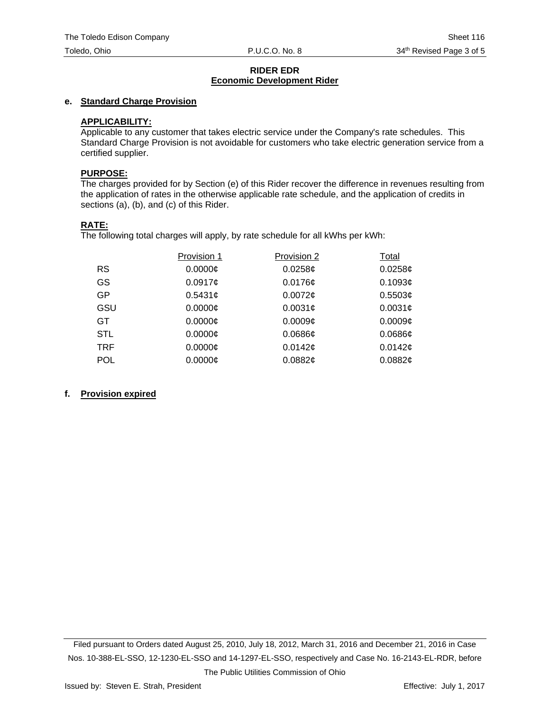# **RIDER EDR Economic Development Rider**

# **e. Standard Charge Provision**

# **APPLICABILITY:**

Applicable to any customer that takes electric service under the Company's rate schedules. This Standard Charge Provision is not avoidable for customers who take electric generation service from a certified supplier.

#### **PURPOSE:**

The charges provided for by Section (e) of this Rider recover the difference in revenues resulting from the application of rates in the otherwise applicable rate schedule, and the application of credits in sections (a), (b), and (c) of this Rider.

## **RATE:**

The following total charges will apply, by rate schedule for all kWhs per kWh:

|            | Provision 1 | Provision 2         | Total               |
|------------|-------------|---------------------|---------------------|
| <b>RS</b>  | 0.0000C     | $0.0258$ ¢          | $0.0258$ ¢          |
| GS         | $0.0917$ ¢  | $0.0176$ ¢          | 0.1093 <sub>¢</sub> |
| GP         | $0.5431$ ¢  | $0.0072$ ¢          | 0.5503¢             |
| GSU        | 0.0000C     | 0.0031 <sub>¢</sub> | 0.0031 <sub>¢</sub> |
| GT         | 0.0000C     | 0.0009c             | 0.0009 <sub>¢</sub> |
| <b>STL</b> | $0.0000$ ¢  | 0.0686c             | $0.0686$ ¢          |
| TRF        | $0.0000$ ¢  | 0.0142c             | 0.0142c             |
| <b>POL</b> | $0.0000$ ¢  | 0.0882¢             | 0.0882¢             |

#### **f. Provision expired**

Filed pursuant to Orders dated August 25, 2010, July 18, 2012, March 31, 2016 and December 21, 2016 in Case Nos. 10-388-EL-SSO, 12-1230-EL-SSO and 14-1297-EL-SSO, respectively and Case No. 16-2143-EL-RDR, before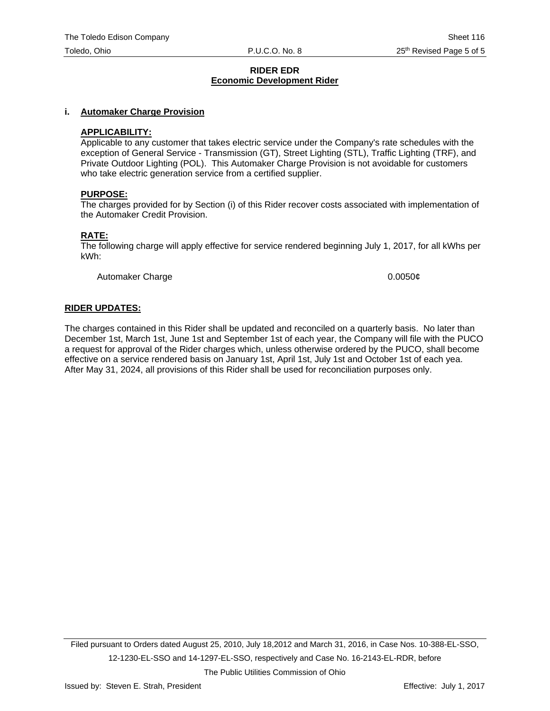#### **RIDER EDR Economic Development Rider**

#### **i. Automaker Charge Provision**

#### **APPLICABILITY:**

Applicable to any customer that takes electric service under the Company's rate schedules with the exception of General Service - Transmission (GT), Street Lighting (STL), Traffic Lighting (TRF), and Private Outdoor Lighting (POL). This Automaker Charge Provision is not avoidable for customers who take electric generation service from a certified supplier.

#### **PURPOSE:**

The charges provided for by Section (i) of this Rider recover costs associated with implementation of the Automaker Credit Provision.

#### **RATE:**

The following charge will apply effective for service rendered beginning July 1, 2017, for all kWhs per kWh:

Automaker Charge **1.2006 1.2006 1.2006 1.2006 1.2006 1.2006 1.2006 1.2006 1.2006 1.2006 1.2006 1.2006 1.2006 1.2006 1.2006 1.2006 1.2006 1.2006 1.2006 1.2006 1.2006 1.2006 1.2006** 

#### **RIDER UPDATES:**

The charges contained in this Rider shall be updated and reconciled on a quarterly basis. No later than December 1st, March 1st, June 1st and September 1st of each year, the Company will file with the PUCO a request for approval of the Rider charges which, unless otherwise ordered by the PUCO, shall become effective on a service rendered basis on January 1st, April 1st, July 1st and October 1st of each yea. After May 31, 2024, all provisions of this Rider shall be used for reconciliation purposes only.